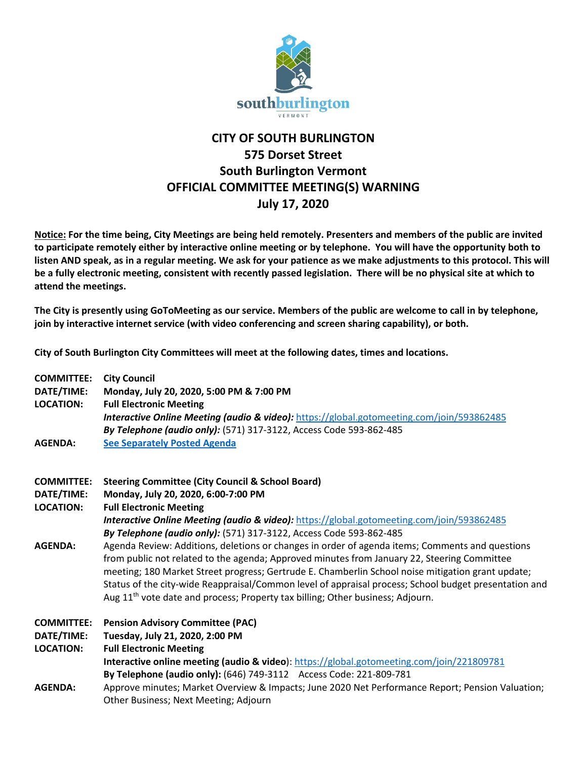

## **CITY OF SOUTH BURLINGTON 575 Dorset Street South Burlington Vermont OFFICIAL COMMITTEE MEETING(S) WARNING July 17, 2020**

**Notice: For the time being, City Meetings are being held remotely. Presenters and members of the public are invited to participate remotely either by interactive online meeting or by telephone. You will have the opportunity both to listen AND speak, as in a regular meeting. We ask for your patience as we make adjustments to this protocol. This will be a fully electronic meeting, consistent with recently passed legislation. There will be no physical site at which to attend the meetings.** 

**The City is presently using GoToMeeting as our service. Members of the public are welcome to call in by telephone, join by interactive internet service (with video conferencing and screen sharing capability), or both.**

**City of South Burlington City Committees will meet at the following dates, times and locations.** 

| <b>COMMITTEE:</b> | <b>City Council</b>                                                                                                                    |
|-------------------|----------------------------------------------------------------------------------------------------------------------------------------|
| DATE/TIME:        | Monday, July 20, 2020, 5:00 PM & 7:00 PM                                                                                               |
| <b>LOCATION:</b>  | <b>Full Electronic Meeting</b><br><b>Interactive Online Meeting (audio &amp; video):</b> https://global.gotomeeting.com/join/593862485 |
|                   | By Telephone (audio only): (571) 317-3122, Access Code 593-862-485                                                                     |
| <b>AGENDA:</b>    | <b>See Separately Posted Agenda</b>                                                                                                    |
|                   |                                                                                                                                        |
| <b>COMMITTEE:</b> | <b>Steering Committee (City Council &amp; School Board)</b>                                                                            |
| DATE/TIME:        | Monday, July 20, 2020, 6:00-7:00 PM                                                                                                    |
| <b>LOCATION:</b>  | <b>Full Electronic Meeting</b>                                                                                                         |
|                   | <b>Interactive Online Meeting (audio &amp; video):</b> https://global.gotomeeting.com/join/593862485                                   |
|                   | By Telephone (audio only): (571) 317-3122, Access Code 593-862-485                                                                     |
| <b>AGENDA:</b>    | Agenda Review: Additions, deletions or changes in order of agenda items; Comments and questions                                        |
|                   | from public not related to the agenda; Approved minutes from January 22, Steering Committee                                            |
|                   | meeting; 180 Market Street progress; Gertrude E. Chamberlin School noise mitigation grant update;                                      |
|                   | Status of the city-wide Reappraisal/Common level of appraisal process; School budget presentation and                                  |
|                   | Aug 11 <sup>th</sup> vote date and process; Property tax billing; Other business; Adjourn.                                             |
| <b>COMMITTEE:</b> | <b>Pension Advisory Committee (PAC)</b>                                                                                                |
| DATE/TIME:        | Tuesday, July 21, 2020, 2:00 PM                                                                                                        |
| <b>LOCATION:</b>  | <b>Full Electronic Meeting</b>                                                                                                         |
|                   | Interactive online meeting (audio & video): https://global.gotomeeting.com/join/221809781                                              |
|                   | By Telephone (audio only): (646) 749-3112 Access Code: 221-809-781                                                                     |
| <b>AGENDA:</b>    | Approve minutes; Market Overview & Impacts; June 2020 Net Performance Report; Pension Valuation;                                       |
|                   | Other Business; Next Meeting; Adjourn                                                                                                  |